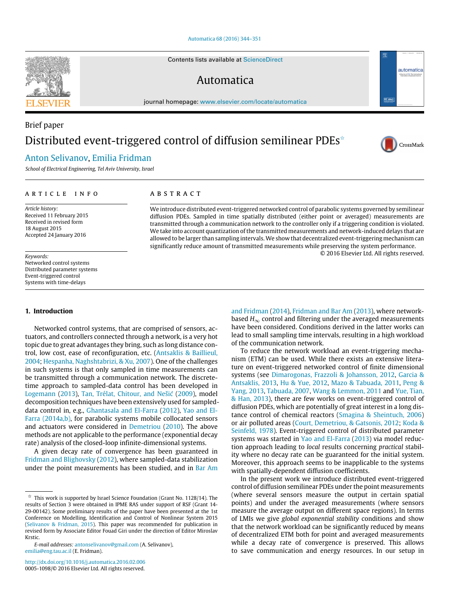#### [Automatica 68 \(2016\) 344–351](http://dx.doi.org/10.1016/j.automatica.2016.02.006)

Contents lists available at [ScienceDirect](http://www.elsevier.com/locate/automatica)

## Automatica

journal homepage: [www.elsevier.com/locate/automatica](http://www.elsevier.com/locate/automatica)

# Brief paper Distributed event-triggered control of diffusion semilinear PDEs<sup> $\star$ </sup>

A B S T R A C T

### [Anton Selivanov,](#page-7-0) [Emilia Fridman](#page-7-1)

*School of Electrical Engineering, Tel Aviv University, Israel*

#### a r t i c l e i n f o

*Article history:* Received 11 February 2015 Received in revised form 18 August 2015 Accepted 24 January 2016

#### *Keywords:*

Networked control systems Distributed parameter systems Event-triggered control Systems with time-delays

#### **1. Introduction**

Networked control systems, that are comprised of sensors, actuators, and controllers connected through a network, is a very hot topic due to great advantages they bring, such as long distance control, low cost, ease of reconfiguration, etc. [\(Antsaklis](#page-7-2) [&](#page-7-2) [Baillieul,](#page-7-2) [2004;](#page-7-2) [Hespanha,](#page-7-3) [Naghshtabrizi,](#page-7-3) [&](#page-7-3) [Xu,](#page-7-3) [2007\)](#page-7-3). One of the challenges in such systems is that only sampled in time measurements can be transmitted through a communication network. The discretetime approach to sampled-data control has been developed in [Logemann](#page-7-4) [\(2013\)](#page-7-4), [Tan,](#page-7-5) [Trélat,](#page-7-5) [Chitour,](#page-7-5) [and](#page-7-5) [Nešić](#page-7-5) [\(2009\)](#page-7-5), model decomposition techniques have been extensively used for sampled[d](#page-7-7)ata control in, e.g., [Ghantasala](#page-7-6) [and](#page-7-6) [El-Farra](#page-7-6) [\(2012\)](#page-7-6), [Yao](#page-7-7) [and](#page-7-7) [El-](#page-7-7)[Farra](#page-7-7) [\(2014a,b\),](#page-7-7) for parabolic systems mobile collocated sensors and actuators were considered in [Demetriou](#page-7-8) [\(2010\)](#page-7-8). The above methods are not applicable to the performance (exponential decay rate) analysis of the closed-loop infinite-dimensional systems.

A given decay rate of convergence has been guaranteed in [Fridman](#page-7-9) [and](#page-7-9) [Blighovsky](#page-7-9) [\(2012\)](#page-7-9), where sampled-data stabilization under the point measurements has been studied, and in [Bar](#page-7-10) [Am](#page-7-10)

<http://dx.doi.org/10.1016/j.automatica.2016.02.006> 0005-1098/© 2016 Elsevier Ltd. All rights reserved.

[and](#page-7-10) [Fridman](#page-7-10) [\(2014\)](#page-7-10), [Fridman](#page-7-12) [and](#page-7-12) [Bar](#page-7-12) [Am](#page-7-12) [\(2013\)](#page-7-12), where networkbased  $H_{\infty}$  control and filtering under the averaged measurements have been considered. Conditions derived in the latter works can lead to small sampling time intervals, resulting in a high workload of the communication network.

We introduce distributed event-triggered networked control of parabolic systems governed by semilinear diffusion PDEs. Sampled in time spatially distributed (either point or averaged) measurements are transmitted through a communication network to the controller only if a triggering condition is violated. We take into account quantization of the transmitted measurements and network-induced delays that are allowed to be larger than sampling intervals.We show that decentralized event-triggering mechanism can significantly reduce amount of transmitted measurements while preserving the system performance.

> To reduce the network workload an event-triggering mechanism (ETM) can be used. While there exists an extensive literature on event-triggered networked control of finite dimensional systems (see [Dimarogonas,](#page-7-13) [Frazzoli](#page-7-13) [&](#page-7-13) [Johansson,](#page-7-13) [2012,](#page-7-13) [Garcia](#page-7-14) [&](#page-7-14) [Antsaklis,](#page-7-14) [2013,](#page-7-14) [Hu](#page-7-15) [&](#page-7-15) [Yue,](#page-7-15) [2012,](#page-7-15) [Mazo](#page-7-16) [&](#page-7-16) [Tabuada,](#page-7-16) [2011,](#page-7-16) [Peng](#page-7-17) [&](#page-7-17) [Yang,](#page-7-17) [2013,](#page-7-17) [Tabuada,](#page-7-18) [2007,](#page-7-18) [Wang](#page-7-19) [&](#page-7-19) [Lemmon,](#page-7-19) [2011](#page-7-19) and [Yue,](#page-7-20) [Tian,](#page-7-20) [&](#page-7-20) [Han,](#page-7-20) [2013\)](#page-7-20), there are few works on event-triggered control of diffusion PDEs, which are potentially of great interest in a long distance control of chemical reactors [\(Smagina](#page-7-21) [&](#page-7-21) [Sheintuch,](#page-7-21) [2006\)](#page-7-21) or air polluted areas [\(Court,](#page-7-22) [Demetriou,](#page-7-22) [&](#page-7-22) [Gatsonis,](#page-7-22) [2012;](#page-7-22) [Koda](#page-7-23) [&](#page-7-23) [Seinfeld,](#page-7-23) [1978\)](#page-7-23). Event-triggered control of distributed parameter systems was started in [Yao](#page-7-24) [and](#page-7-24) [El-Farra](#page-7-24) [\(2013\)](#page-7-24) via model reduction approach leading to *local* results concerning *practical* stability where no decay rate can be guaranteed for the initial system. Moreover, this approach seems to be inapplicable to the systems with spatially-dependent diffusion coefficients.

> In the present work we introduce distributed event-triggered control of diffusion semilinear PDEs under the point measurements (where several sensors measure the output in certain spatial points) and under the averaged measurements (where sensors measure the average output on different space regions). In terms of LMIs we give *global exponential stability* conditions and show that the network workload can be significantly reduced by means of decentralized ETM both for point and averaged measurements while a decay rate of convergence is preserved. This allows to save communication and energy resources. In our setup in





© 2016 Elsevier Ltd. All rights reserved.



<span id="page-0-0"></span> $\overrightarrow{x}$  This work is supported by Israel Science Foundation (Grant No. 1128/14). The results of Section 3 were obtained in IPME RAS under support of RSF (Grant 14- 29-00142). Some preliminary results of the paper have been presented at the 1st Conference on Modelling, Identification and Control of Nonlinear System 2015 [\(Selivanov](#page-7-11) [&](#page-7-11) [Fridman,](#page-7-11) [2015\)](#page-7-11). This paper was recommended for publication in revised form by Associate Editor Fouad Giri under the direction of Editor Miroslav Krstic.

*E-mail addresses:* [antonselivanov@gmail.com](mailto:antonselivanov@gmail.com) (A. Selivanov), [emilia@eng.tau.ac.il](mailto:emilia@eng.tau.ac.il) (E. Fridman).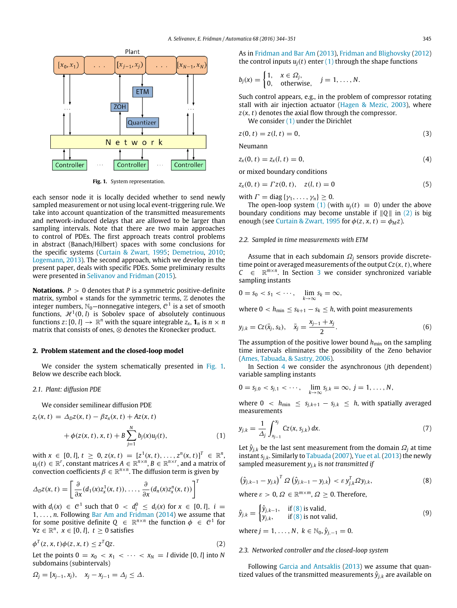<span id="page-1-0"></span>

**Fig. 1.** System representation.

each sensor node it is locally decided whether to send newly sampled measurement or not using local event-triggering rule. We take into account quantization of the transmitted measurements and network-induced delays that are allowed to be larger than sampling intervals. Note that there are two main approaches to control of PDEs. The first approach treats control problems in abstract (Banach/Hilbert) spaces with some conclusions for the specific systems [\(Curtain](#page-7-25) [&](#page-7-25) [Zwart,](#page-7-25) [1995;](#page-7-25) [Demetriou,](#page-7-8) [2010;](#page-7-8) [Logemann,](#page-7-4) [2013\)](#page-7-4). The second approach, which we develop in the present paper, deals with specific PDEs. Some preliminary results were presented in [Selivanov](#page-7-11) [and](#page-7-11) [Fridman](#page-7-11) [\(2015\)](#page-7-11).

**Notations.**  $P > 0$  denotes that *P* is a symmetric positive-definite matrix, symbol  $*$  stands for the symmetric terms,  $\mathbb Z$  denotes the integer numbers,  $\mathbb{N}_0$ —nonnegative integers,  $\mathcal{C}^1$  is a set of smooth functions,  $\mathcal{H}^1(0,l)$  is Sobolev space of absolutely continuous functions *z*:  $[0, l] \rightarrow \mathbb{R}^n$  with the square integrable  $z_x$ ,  $\mathbf{1}_n$  is  $n \times n$ matrix that consists of ones, ⊗ denotes the Kronecker product.

#### **2. Problem statement and the closed-loop model**

We consider the system schematically presented in [Fig. 1.](#page-1-0) Below we describe each block.

#### *2.1. Plant: diffusion PDE*

We consider semilinear diffusion PDE

$$
z_t(x, t) = \Delta_D z(x, t) - \beta z_x(x, t) + Az(x, t) + \phi(z(x, t), x, t) + B \sum_{j=1}^N b_j(x) u_j(t),
$$
(1)

with  $x \in [0, l], t \ge 0, z(x, t) = [z^1(x, t), \dots, z^n(x, t)]^T \in \mathbb{R}^n$ ,  $u_j(t) \in \mathbb{R}^r$ , constant matrices  $A \in \mathbb{R}^{n \times n}$ ,  $B \in \mathbb{R}^{n \times r}$ , and a matrix of convection coefficients  $\beta \in \mathbb{R}^{n \times n}$ . The diffusion term is given by

$$
\Delta_D z(x,t) = \left[ \frac{\partial}{\partial x} (d_1(x) z_x^1(x,t)), \ldots, \frac{\partial}{\partial x} (d_n(x) z_x^n(x,t)) \right]^T
$$

with  $d_i(x) \in C^1$  such that  $0 < d_i^0 \le d_i(x)$  for  $x \in [0, l]$ ,  $i =$ 1, . . . , *n*. Following [Bar](#page-7-10) [Am](#page-7-10) [and](#page-7-10) [Fridman](#page-7-10) [\(2014\)](#page-7-10) we assume that for some positive definite  $Q \in \mathbb{R}^{n \times n}$  the function  $\phi \in C^1$  for  $\forall z \in \mathbb{R}^n$ ,  $\overline{x} \in [0, l]$ ,  $t ≥ 0$  satisfies

$$
\phi^T(z, x, t)\phi(z, x, t) \le z^T Q z. \tag{2}
$$

Let the points  $0 = x_0 < x_1 < \cdots < x_N = l$  divide [0, *l*] into *N* subdomains (subintervals)

 $\Omega_j = [x_{j-1}, x_j), \quad x_j - x_{j-1} = \Delta_j \leq \Delta.$ 

As in [Fridman](#page-7-12) [and](#page-7-12) [Bar](#page-7-12) [Am](#page-7-12) [\(2013\)](#page-7-12), [Fridman](#page-7-9) [and](#page-7-9) [Blighovsky](#page-7-9) [\(2012\)](#page-7-9) the control inputs  $u_i(t)$  enter  $(1)$  through the shape functions

$$
b_j(x) = \begin{cases} 1, & x \in \Omega_j, \\ 0, & \text{otherwise}, \end{cases} \quad j = 1, \ldots, N.
$$

Such control appears, e.g., in the problem of compressor rotating stall with air injection actuator [\(Hagen](#page-7-26) [&](#page-7-26) [Mezic,](#page-7-26) [2003\)](#page-7-26), where *z*(*x*, *t*) denotes the axial flow through the compressor.

<span id="page-1-5"></span><span id="page-1-4"></span>We consider [\(1\)](#page-1-1) under the Dirichlet

$$
z(0, t) = z(l, t) = 0,
$$
\n(3)

Neumann

$$
z_x(0, t) = z_x(l, t) = 0,
$$
\n(4)

<span id="page-1-6"></span>or mixed boundary conditions

$$
z_x(0, t) = \Gamma z(0, t), \quad z(l, t) = 0 \tag{5}
$$

with  $\Gamma = \text{diag}\{\gamma_1, \ldots, \gamma_n\} \geq 0$ .

The open-loop system [\(1\)](#page-1-1) (with  $u_i(t) \equiv 0$ ) under the above boundary conditions may become unstable if ∥*Q*∥ in [\(2\)](#page-1-2) is big enough (see [Curtain](#page-7-25) [&](#page-7-25) [Zwart,](#page-7-25) [1995](#page-7-25) for  $\phi(z, x, t) = \phi_M z$ ).

#### *2.2. Sampled in time measurements with ETM*

Assume that in each subdomain Ω*<sup>j</sup>* sensors provide discretetime point or averaged measurements of the output *Cz*(*x*, *t*), where  $C \in \mathbb{R}^{m \times n}$ . In Section [3](#page-2-0) we consider synchronized variable sampling instants

$$
0=s_0 < s_1 < \cdots, \quad \lim_{k\to\infty} s_k = \infty,
$$

<span id="page-1-8"></span>where  $0 < h_{\min} \leq s_{k+1} - s_k \leq h$ , with point measurements

$$
y_{j,k} = Cz(\bar{x}_j, s_k), \quad \bar{x}_j = \frac{x_{j-1} + x_j}{2}.
$$
 (6)

The assumption of the positive lower bound  $h_{\min}$  on the sampling time intervals eliminates the possibility of the Zeno behavior [\(Ames,](#page-7-27) [Tabuada,](#page-7-27) [&](#page-7-27) [Sastry,](#page-7-27) [2006\)](#page-7-27).

In Section [4](#page-3-0) we consider the asynchronous (*j*th dependent) variable sampling instants

$$
0 = s_{j,0} < s_{j,1} < \cdots, \quad \lim_{k \to \infty} s_{j,k} = \infty, \ j = 1, \ldots, N,
$$

where  $0 < h_{\min} \leq s_{j,k+1} - s_{j,k} \leq h$ , with spatially averaged measurements

<span id="page-1-9"></span><span id="page-1-1"></span>
$$
y_{j,k} = \frac{1}{\Delta_j} \int_{x_{j-1}}^{x_j} Cz(x, s_{j,k}) dx.
$$
 (7)

Let  $\hat{y}_{j,k}$  be the last sent measurement from the domain  $\Omega_j$  at time instant *sj*,*k*. Similarly to [Tabuada](#page-7-18) [\(2007\)](#page-7-18), [Yue](#page-7-20) [et al.](#page-7-20) [\(2013\)](#page-7-20) the newly sampled measurement *yj*,*<sup>k</sup>* is *not transmitted if*

<span id="page-1-3"></span>
$$
\left(\hat{y}_{j,k-1}-y_{j,k}\right)^T\Omega\left(\hat{y}_{j,k-1}-y_{j,k}\right)<\varepsilon y_{j,k}^T\Omega y_{j,k},\tag{8}
$$

<span id="page-1-7"></span>where  $\varepsilon > 0$ ,  $\Omega \in \mathbb{R}^{m \times m}$ ,  $\Omega \ge 0$ . Therefore,

$$
\hat{y}_{j,k} = \begin{cases} \hat{y}_{j,k-1}, & \text{if (8) is valid,} \\ y_{j,k}, & \text{if (8) is not valid,} \end{cases}
$$
\n(9)

where *j* = 1, ..., *N*,  $k \in \mathbb{N}_0$ ,  $\hat{y}_{j,-1} = 0$ .

#### <span id="page-1-2"></span>*2.3. Networked controller and the closed-loop system*

Following [Garcia](#page-7-14) [and](#page-7-14) [Antsaklis](#page-7-14) [\(2013\)](#page-7-14) we assume that quantized values of the transmitted measurements  $\hat{y}_{j,k}$  are available on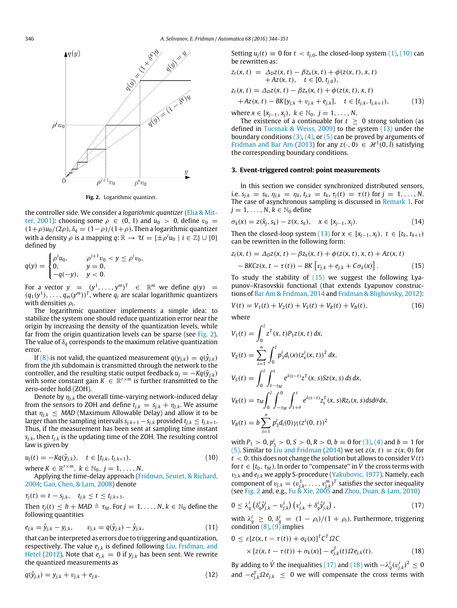<span id="page-2-1"></span>

**Fig. 2.** Logarithmic quantizer.

[t](#page-7-28)he controller side. We consider a *logarithmic quantizer* [\(Elia](#page-7-28) [&](#page-7-28) [Mit](#page-7-28)[ter,](#page-7-28) [2001\)](#page-7-28): choosing some  $\rho \in (0, 1)$  and  $u_0 > 0$ , define  $v_0 =$  $(1+\rho)u_0/(2\rho)$ ,  $\delta_q = (1-\rho)/(1+\rho)$ . Then a logarithmic quantizer with a density  $\rho$  is a mapping  $q\!:\mathbb{R}\to\mathcal{U}=\{\pm\rho^i u_0\mid i\in\mathbb{Z}\}\cup\{0\}$ defined by

$$
q(y) = \begin{cases} \rho^i u_0, & \rho^{i+1} v_0 < y \le \rho^i v_0, \\ 0, & y = 0, \\ -q(-y), & y < 0. \end{cases}
$$

For a vector  $y = (y^1, \ldots, y^m)^T \in \mathbb{R}^m$  we define  $q(y) =$  $(q_1(y^1), \ldots, q_m(y^m))^T$ , where  $q_i$  are scalar logarithmic quantizers with densities ρ*<sup>i</sup>* .

The logarithmic quantizer implements a simple idea: to stabilize the system one should reduce quantization error near the origin by increasing the density of the quantization levels, while far from the origin quantization levels can be sparse (see [Fig. 2\)](#page-2-1). The value of  $\delta_q$  corresponds to the maximum relative quantization error.

If [\(8\)](#page-1-3) is not valid, the quantized measurement  $q(y_{j,k}) = q(\hat{y}_{j,k})$ from the *j*th subdomain is transmitted through the network to the controller, and the resulting static output feedback  $u_j = -Kq(\hat{y}_{j,k})$ with some constant gain  $K \in \mathbb{R}^{r \times m}$  is further transmitted to the zero-order hold (ZOH).

Denote by  $\eta_{i,k}$  the overall time-varying network-induced delay from the sensors to ZOH and define  $t_{j,k} = s_{j,k} + \eta_{j,k}$ . We assume that  $\eta_{j,k} \leq \text{MAD}$  (Maximum Allowable Delay) and allow it to be larger than the sampling intervals  $s_{j,k+1} - s_{j,k}$  provided  $t_{j,k} \leq t_{j,k+1}$ . Thus, if the measurement has been sent at sampling time instant  $s_{i,k}$ , then  $t_{i,k}$  is the updating time of the ZOH. The resulting control law is given by

$$
u_j(t) = -Kq(\hat{y}_{j,k}), \quad t \in [t_{j,k}, t_{j,k+1}),
$$
  
where  $K \in \mathbb{R}^{r \times m}$ ,  $k \in \mathbb{N}_0$ ,  $j = 1, ..., N$ . (10)

Applying the time-delay approach [\(Fridman,](#page-7-29) [Seuret,](#page-7-29) [&](#page-7-29) [Richard,](#page-7-29) [2004;](#page-7-29) [Gao,](#page-7-30) [Chen,](#page-7-30) [&](#page-7-30) [Lam,](#page-7-30) [2008\)](#page-7-30) denote

$$
\tau_j(t) = t - s_{j,k}, \quad t_{j,k} \leq t \leq t_{j,k+1}.
$$

Then  $\tau_i(t) \leq h + \text{MAD} \triangleq \tau_M$ . For  $j = 1, \ldots, N$ ,  $k \in \mathbb{N}_0$  define the following quantities

$$
e_{j,k} = \hat{y}_{j,k} - y_{j,k}, \qquad v_{j,k} = q(\hat{y}_{j,k}) - \hat{y}_{j,k}, \qquad (11)
$$

that can be interpreted as errors due to triggering and quantization, respectively. The value *ej*,*<sup>k</sup>* is defined following [Liu,](#page-7-31) [Fridman,](#page-7-31) [and](#page-7-31) [Hetel](#page-7-31) [\(2012\)](#page-7-31). Note that  $e_{i,k} = 0$  if  $y_{i,k}$  has been sent. We rewrite the quantized measurements as

$$
q(\hat{y}_{j,k}) = y_{j,k} + v_{j,k} + e_{j,k}.
$$
\n(12)

Setting  $u_i(t) \equiv 0$  for  $t < t_{i,0}$ , the closed-loop system [\(1\),](#page-1-1) [\(10\)](#page-2-2) can be rewritten as:

$$
z_{t}(x, t) = \Delta_{D} z(x, t) - \beta z_{x}(x, t) + \phi(z(x, t), x, t) + Az(x, t), t \in [0, t_{j,0}), z_{t}(x, t) = \Delta_{D} z(x, t) - \beta z_{x}(x, t) + \phi(z(x, t), x, t) + Az(x, t) - BK[y_{j,k} + v_{j,k} + e_{j,k}], t \in [t_{j,k}, t_{j,k+1}),
$$
(13)

<span id="page-2-3"></span>where  $x \in [x_{i-1}, x_i)$ ,  $k \in \mathbb{N}_0$ ,  $j = 1, ..., N$ .

The existence of a continuable for  $t \geq 0$  strong solution (as defined in [Tucsnak](#page-7-32) [&](#page-7-32) [Weiss,](#page-7-32) [2009\)](#page-7-32) to the system [\(13\)](#page-2-3) under the boundary conditions  $(3)$ ,  $(4)$ , or  $(5)$  can be proved by arguments of [Fridman](#page-7-12) [and](#page-7-12) [Bar](#page-7-12) [Am](#page-7-12) [\(2013\)](#page-7-12) for any  $z(\cdot, 0) \in \mathcal{H}^1(0, l)$  satisfying the corresponding boundary conditions.

#### <span id="page-2-0"></span>**3. Event-triggered control: point measurements**

In this section we consider synchronized distributed sensors, i.e.  $s_{j,k} = s_k$ ,  $\eta_{j,k} = \eta_k$ ,  $t_{j,k} = t_k$ ,  $\tau_j(t) = \tau(t)$  for  $j = 1, ..., N$ . The case of asynchronous sampling is discussed in [Remark 1.](#page-3-1) For  $j = 1, \ldots, N, k \in \mathbb{N}_0$  define

$$
\sigma_k(x) = z(\bar{x}_j, s_k) - z(x, s_k), \quad x \in [x_{j-1}, x_j).
$$
 (14)

Then the closed-loop system [\(13\)](#page-2-3) for  $x \in [x_{i-1}, x_i)$ ,  $t \in [t_k, t_{k+1})$ can be rewritten in the following form:

<span id="page-2-4"></span>
$$
z_t(x, t) = \Delta_D z(x, t) - \beta z_x(x, t) + \phi(z(x, t), x, t) + Az(x, t)
$$

$$
- BKCz(x, t - \tau(t)) - BK[v_{j,k} + e_{j,k} + C\sigma_k(x)]. \tag{15}
$$

To study the stability of  $(15)$  we suggest the following Lyapunov–Krasovskii functional (that extends Lyapunov constructions of [Bar](#page-7-10) [Am](#page-7-10) [&](#page-7-10) [Fridman,](#page-7-10) [2014](#page-7-10) and [Fridman](#page-7-9) [&](#page-7-9) [Blighovsky,](#page-7-9) [2012\)](#page-7-9):

<span id="page-2-7"></span>
$$
V(t) = V_1(t) + V_2(t) + V_S(t) + V_R(t) + V_B(t),
$$
\n(16)

where

$$
V_1(t) = \int_0^l z^T(x, t) P_1 z(x, t) dx,
$$
  
\n
$$
V_2(t) = \sum_{i=1}^n \int_0^l p_3^i d_i(x) (z_x^i(x, t))^2 dx,
$$
  
\n
$$
V_S(t) = \int_0^l \int_{t-\tau_M}^t e^{\delta(s-t)} z^T(x, s) S z(x, s) ds dx,
$$
  
\n
$$
V_R(t) = \tau_M \int_0^l \int_{-\tau_M}^0 \int_{t+\theta}^t e^{\delta(s-t)} z_s^T(x, s) R z_s(x, s) ds d\theta dx,
$$
  
\n
$$
V_B(t) = b \sum_{i=1}^n p_3^i d_i(0) \gamma_i (z^i(0, t))^2
$$

<span id="page-2-2"></span>with  $P_1 > 0$ ,  $p_3^i > 0$ ,  $S > 0$ ,  $R > 0$ ,  $b = 0$  for [\(3\),](#page-1-4) [\(4\)](#page-1-5) and  $b = 1$  for [\(5\).](#page-1-6) Similar to [Liu](#page-7-33) [and](#page-7-33) [Fridman](#page-7-33) [\(2014\)](#page-7-33) we set  $z(x, t) \equiv z(x, 0)$  for  $t < 0$ : this does not change the solution but allows to consider  $V(t)$ for  $t \in [t_0, \tau_M)$ . In order to "compensate" in  $\dot{V}$  the cross terms with v*j*,*<sup>k</sup>* and *ej*,*<sup>k</sup>* we apply S-procedure [\(Yakubovic,](#page-7-34) [1977\)](#page-7-34). Namely, each component of  $v_{j,k} = (v_{j,k}^1, \ldots, v_{j,k}^m)^T$  satisfies the sector inequality (see [Fig. 2](#page-2-1) and, e.g., [Fu](#page-7-35) [&](#page-7-35) [Xie,](#page-7-35) [2005](#page-7-35) and [Zhou,](#page-7-36) [Duan,](#page-7-36) [&](#page-7-36) [Lam,](#page-7-36) [2010\)](#page-7-36)

<span id="page-2-5"></span>
$$
0 \leq \lambda_q^i \left( \delta_q^i \hat{y}_{j,k}^i - v_{j,k}^i \right) \left( v_{j,k}^i + \delta_q^i \hat{y}_{j,k}^i \right), \tag{17}
$$

with  $\lambda_q^i \geq 0$ ,  $\delta_q^i = (1 - \rho_i)/(1 + \rho_i)$ . Furthermore, triggering condition  $(8)$ ,  $(9)$  implies

<span id="page-2-6"></span>
$$
0 \leq \varepsilon [z(x, t - \tau(t)) + \sigma_k(x)]^T C^T \Omega C
$$
  
 
$$
\times [z(x, t - \tau(t)) + \sigma_k(x)] - e_{j,k}^T(t) \Omega e_{j,k}(t).
$$
 (18)

By adding to  $\dot{V}$  the inequalities [\(17\)](#page-2-5) and [\(18\)](#page-2-6) with  $-\lambda_q^i(v_{j,k}^i)^2 \leq 0$ and  $-e_{j,k}^T \Omega e_{j,k} \leq 0$  we will compensate the cross terms with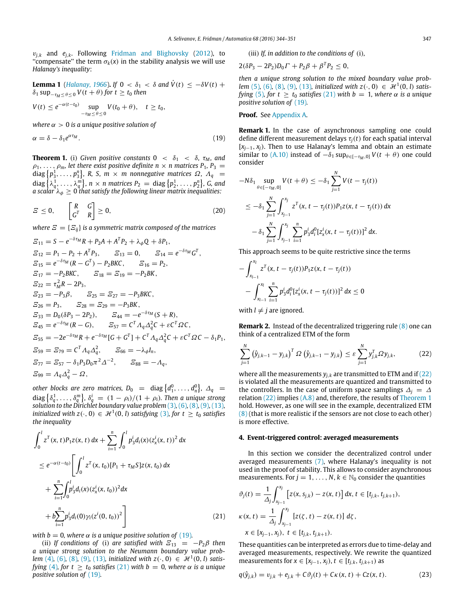$v_{i,k}$  [and](#page-7-9)  $e_{i,k}$ . Following [Fridman](#page-7-9) and [Blighovsky](#page-7-9) [\(2012\)](#page-7-9), to "compensate" the term  $\sigma_k(x)$  in the stability analysis we will use *Halanay's inequality*:

<span id="page-3-7"></span>**Lemma 1** (Halamay, 1966). If 
$$
0 < \delta_1 < \delta
$$
 and  $\dot{V}(t) \le -\delta V(t) + \delta_1 \sup_{-\tau_M \le \theta \le 0} V(t + \theta)$  for  $t \ge t_0$  then

$$
V(t) \le e^{-\alpha(t-t_0)} \sup_{-\tau_M \le \theta \le 0} V(t_0 + \theta), \quad t \ge t_0,
$$

*where*  $\alpha > 0$  *is a unique positive solution of* 

$$
\alpha = \delta - \delta_1 e^{\alpha \tau_M}.\tag{19}
$$

<span id="page-3-5"></span>**Theorem 1.** (i) Given positive constants  $0 < \delta_1 < \delta$ ,  $\tau_M$ , and  $\rho_1, \ldots, \rho_m$ , let there exist positive definite  $n \times n$  matrices  $P_1, P_3 =$  $\{p_3^1, \ldots, p_3^n\}$ , R, S,  $m \times m$  nonnegative matrices  $\Omega$ ,  $\Lambda_q$  =  $\mathcal{A}$  diag  $\left\{ \lambda_q^1, \ldots, \lambda_q^m \right\}$ ,  $n \times n$  matrices  $P_2 \, = \, \text{diag} \left\{ p_2^1, \ldots, p_2^n \right\}$ , G, and a scalar  $\lambda_{\phi} \geq 0$  that satisfy the following linear matrix inequalities:

$$
E \leq 0, \qquad \begin{bmatrix} R & G \\ G^T & R \end{bmatrix} \geq 0,\tag{20}
$$

*where*  $\mathbf{E} = \{E_{ij}\}\$ is a symmetric matrix composed of the matrices

$$
E_{11} = S - e^{-\delta \tau_M} R + P_2 A + A^T P_2 + \lambda_{\phi} Q + \delta P_1,
$$
  
\n
$$
E_{12} = P_1 - P_2 + A^T P_3, \qquad E_{13} = 0, \qquad E_{14} = e^{-\delta \tau_M} G^T,
$$
  
\n
$$
E_{15} = e^{-\delta \tau_M} (R - G^T) - P_2 B K C, \qquad E_{16} = P_2,
$$
  
\n
$$
E_{17} = -P_2 B K C, \qquad E_{18} = E_{19} = -P_2 B K,
$$
  
\n
$$
E_{22} = \tau_M^2 R - 2P_3,
$$
  
\n
$$
E_{23} = -P_3 \beta, \qquad E_{25} = E_{27} = -P_3 B K C,
$$
  
\n
$$
E_{26} = P_3, \qquad E_{28} = E_{29} = -P_3 B K,
$$
  
\n
$$
E_{33} = D_0 (\delta P_3 - 2P_2), \qquad E_{44} = -e^{-\delta \tau_M} (S + R),
$$
  
\n
$$
E_{45} = e^{-\delta \tau_M} (R - G), \qquad E_{57} = C^T A_q \Delta_q^2 C + \varepsilon C^T \Omega C,
$$
  
\n
$$
E_{55} = -2e^{-\delta \tau_M} R + e^{-\delta \tau_M} [G + G^T] + C^T A_q \Delta_q^2 C + \varepsilon C^T \Omega C - \delta_1 P_1,
$$
  
\n
$$
E_{59} = E_{79} = C^T A_q \Delta_q^2, \qquad E_{66} = -\lambda_{\phi} I_n,
$$
  
\n
$$
E_{77} = E_{57} - \delta_1 P_3 D_0 \pi^2 \Delta^{-2}, \qquad E_{88} = -\Lambda_q,
$$
  
\n
$$
E_{99} = A_q \Delta_q^2 - \Omega,
$$

other blocks are zero matrices,  $D_0$  = diag  $\left\{d_1^0, \ldots, d_n^0\right\}$ ,  $\Delta_q$  =  $\text{diag}\left\{\delta_q^1,\ldots,\delta_q^m\right\}$ ,  $\delta_q^i~=~(1-\rho_i)/(1+\rho_i).$  Then a unique strong *solution to the Dirichlet boundary value problem* [\(3\)](#page-1-4)*,* [\(6\)](#page-1-8)*,* [\(8\)](#page-1-3)*,* [\(9\)](#page-1-7)*,* [\(13\)](#page-2-3)*, initialized with z*( $\cdot$ , 0)  $\in$   $\mathcal{H}^1(0, l)$  *satisfying* [\(3\)](#page-1-4), for  $t \ge t_0$  *satisfies the inequality*

$$
\int_0^l z^T(x, t) P_1 z(x, t) dx + \sum_{i=1}^n \int_0^l p_3^i d_i(x) (z_x^i(x, t))^2 dx
$$
  
\n
$$
\leq e^{-\alpha(t-t_0)} \left[ \int_0^l z^T(x, t_0) [P_1 + \tau_M S] z(x, t_0) dx + \sum_{i=1}^n \int_0^l p_3^i d_i(x) (z_x^i(x, t_0))^2 dx + b \sum_{i=1}^n p_3^i d_i(0) \gamma_i (z^i(0, t_0))^2 \right]
$$
\n(21)

*with b* = 0, where  $\alpha$  *is a unique positive solution of* [\(19\)](#page-3-2).

(ii) *If conditions of* (i) *are satisfied with*  $E_{13} = -P_2\beta$  *then a unique strong solution to the Neumann boundary value problem* [\(4\)](#page-1-5), [\(6\)](#page-1-8), [\(8\)](#page-1-3), [\(9\)](#page-1-7), [\(13\)](#page-2-3), *initialized with*  $z(\cdot, 0) \in \mathcal{H}^1(0, l)$  *satisfying* [\(4\)](#page-1-5), for  $t \ge t_0$  *satisfies* [\(21\)](#page-3-3) with  $b = 0$ , where  $\alpha$  *is a unique positive solution of* [\(19\)](#page-3-2)*.*

(iii) *If, in addition to the conditions of* (i)*,*

$$
2(\delta P_3 - 2P_2)D_0\Gamma + P_2\beta + \beta^T P_2 \leq 0,
$$

*then a unique strong solution to the mixed boundary value problem* [\(5\)](#page-1-6), [\(6\)](#page-1-8), [\(8\)](#page-1-3), [\(9\)](#page-1-7), [\(13\)](#page-2-3), *initialized with*  $z(\cdot, 0) \in \mathcal{H}^1(0, l)$  *satisfying* [\(5\)](#page-1-6), for  $t \ge t_0$  *satisfies* [\(21\)](#page-3-3) with  $b = 1$ , where  $\alpha$  *is a unique positive solution of* [\(19\)](#page-3-2)*.*

#### **Proof.** See [Appendix A.](#page-5-0)

<span id="page-3-2"></span><span id="page-3-1"></span>**Remark 1.** In the case of asynchronous sampling one could define different measurement delays  $\tau_i(t)$  for each spatial interval [*xj*−1, *xj*). Then to use Halanay's lemma and obtain an estimate similar to [\(A.10\)](#page-6-0) instead of  $-\delta_1 \sup_{\theta \in [-\tau_M,0]} V(t + \theta)$  one could consider

<span id="page-3-6"></span>
$$
-N\delta_1 \sup_{\theta \in [-\tau_M, 0]} V(t + \theta) \le -\delta_1 \sum_{j=1}^N V(t - \tau_j(t))
$$
  

$$
\le -\delta_1 \sum_{j=1}^N \int_{x_{j-1}}^{x_j} z^T(x, t - \tau_j(t)) P_1 z(x, t - \tau_j(t)) dx
$$
  

$$
- \delta_1 \sum_{j=1}^N \int_{x_{j-1}}^{x_j} \sum_{i=1}^n p_3^i d_i^0 [z_x^i(x, t - \tau_j(t))]^2 dx.
$$

This approach seems to be quite restrictive since the terms

$$
-\int_{x_{l-1}}^{x_l} z^T(x, t - \tau_j(t)) P_1 z(x, t - \tau_j(t))
$$
  
-
$$
\int_{x_{l-1}}^{x_l} \sum_{i=1}^n p_3^i d_i^0 [z_x^i(x, t - \tau_j(t))]^2 dx \le 0
$$

with  $l \neq j$  are ignored.

**Remark 2.** Instead of the decentralized triggering rule [\(8\)](#page-1-3) one can think of a centralized ETM of the form

<span id="page-3-4"></span>
$$
\sum_{j=1}^{N} (\hat{y}_{j,k-1} - y_{j,k})^T \Omega (\hat{y}_{j,k-1} - y_{j,k}) \leq \varepsilon \sum_{j=1}^{N} y_{j,k}^T \Omega y_{j,k},
$$
 (22)

where all the measurements  $y_{j,k}$  are transmitted to ETM and if [\(22\)](#page-3-4) is violated all the measurements are quantized and transmitted to the controllers. In the case of uniform space samplings  $\Delta_i = \Delta_i$ relation [\(22\)](#page-3-4) implies [\(A.8\)](#page-6-1) and, therefore, the results of [Theorem 1](#page-3-5) hold. However, as one will see in the example, decentralized ETM [\(8\)](#page-1-3) (that is more realistic if the sensors are not close to each other) is more effective.

#### <span id="page-3-0"></span>**4. Event-triggered control: averaged measurements**

In this section we consider the decentralized control under averaged measurements [\(7\),](#page-1-9) where Halanay's inequality is not used in the proof of stability. This allows to consider asynchronous measurements. For  $j = 1, ..., N$ ,  $k \in \mathbb{N}_0$  consider the quantities

<span id="page-3-3"></span>
$$
\vartheta_j(t) = \frac{1}{\Delta_j} \int_{x_{j-1}}^{x_j} \left[ z(x, s_{j,k}) - z(x, t) \right] dx, t \in [t_{j,k}, t_{j,k+1}),
$$
  

$$
\kappa(x, t) = \frac{1}{\Delta_j} \int_{x_{j-1}}^{x_j} \left[ z(\zeta, t) - z(x, t) \right] d\zeta,
$$
  

$$
x \in [x_{j-1}, x_j), t \in [t_{j,k}, t_{j,k+1}).
$$

These quantities can be interpreted as errors due to time-delay and averaged measurements, respectively. We rewrite the quantized measurements for *x* ∈  $[x_{j-1}, x_j)$ ,  $t$  ∈  $[t_{j,k}, t_{j,k+1})$  as

$$
q(\hat{y}_{j,k}) = v_{j,k} + e_{j,k} + C\vartheta_j(t) + C\kappa(x,t) + Cz(x,t).
$$
 (23)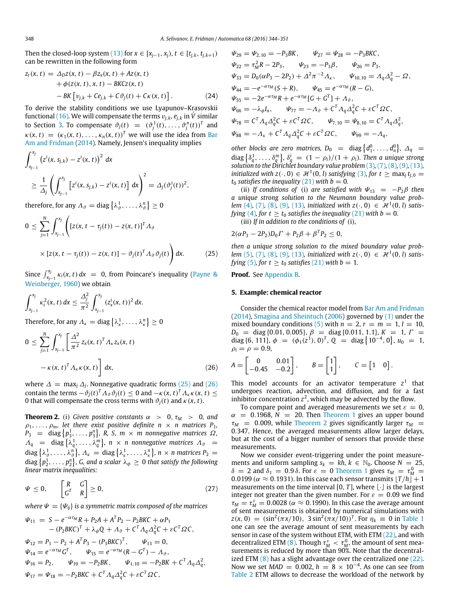Then the closed-loop system [\(13\)](#page-2-3) for  $x \in [x_{j-1}, x_j)$ ,  $t \in [t_{j,k}, t_{j,k+1})$ can be rewritten in the following form

$$
z_{t}(x, t) = \Delta_{D} z(x, t) - \beta z_{x}(x, t) + Az(x, t) + \phi(z(x, t), x, t) - BKCz(x, t) - BK [v_{j,k} + Ce_{j,k} + C\vartheta_{j}(t) + C\kappa(x, t)].
$$
 (24)

To derive the stability conditions we use Lyapunov–Krasovskii functional [\(16\).](#page-2-7) We will compensate the terms  $v_{j,k}$ ,  $e_{j,k}$  in  $\dot{V}$  similar to Section [3.](#page-2-0) To compensate  $\vartheta_j(t) = (\vartheta_j^1(t), \ldots, \vartheta_j^n(t))^T$  and  $\kappa(x, t) = (\kappa_1(x, t), \dots, \kappa_n(x, t))^T$  we will use the idea from [Bar](#page-7-10) [Am](#page-7-10) [and](#page-7-10) [Fridman](#page-7-10) [\(2014\)](#page-7-10). Namely, Jensen's inequality implies

$$
\int_{x_{j-1}}^{x_j} (z^i(x, s_{j,k}) - z^i(x, t))^2 dx
$$
  
\n
$$
\geq \frac{1}{\Delta_j} \left( \int_{x_{j-1}}^{x_j} [z^i(x, s_{j,k}) - z^i(x, t)] dx \right)^2 = \Delta_j(\vartheta_j^i(t))^2,
$$

therefore, for any  $\varLambda_\vartheta=\operatorname{diag}\left\{\lambda^1_\vartheta,\ldots,\lambda^n_\vartheta\right\}\geq 0$ 

$$
0 \leq \sum_{j=1}^{N} \int_{x_{j-1}}^{x_j} \left( \left[ z(x, t - \tau_j(t)) - z(x, t) \right]^T A_{\vartheta} \times \left[ z(x, t - \tau_j(t)) - z(x, t) \right] - \vartheta_j(t)^T A_{\vartheta} \vartheta_j(t) \right) dx.
$$
 (25)

Since  $\int_{x_{j-1}}^{x_j} \kappa_i(x, t) dx = 0$ , from Poincare's inequality [\(Payne](#page-7-38) [&](#page-7-38) [Weinberger,](#page-7-38) [1960\)](#page-7-38) we obtain

$$
\int_{x_{j-1}}^{x_j} \kappa_i^2(x, t) dx \le \frac{\Delta_j^2}{\pi^2} \int_{x_{j-1}}^{x_j} (z_x^i(x, t))^2 dx.
$$
  
Therefore, for any  $\Lambda_k$  = diag { $\lambda_k^1, \ldots, \lambda_k^n$ }  $\ge 0$ 

$$
0 \leq \sum_{j=1}^{N} \int_{x_{j-1}}^{x_j} \left[ \frac{\Delta^2}{\pi^2} z_x(x, t)^T \Lambda_{\kappa} z_x(x, t) - \kappa(x, t)^T \Lambda_{\kappa} \kappa(x, t) \right] dx,
$$
\n(26)

where  $\Delta = \max_j \Delta_j$ . Nonnegative quadratic forms [\(25\)](#page-4-0) and [\(26\)](#page-4-1) contain the terms  $-\vartheta_j(t)^T A_{\vartheta} \vartheta_j(t) \leq 0$  and  $-\kappa(x, t)^T A_{\kappa} \kappa(x, t) \leq$ 0 that will compensate the cross terms with  $\vartheta_i(t)$  and  $\kappa(x, t)$ .

<span id="page-4-2"></span>**Theorem 2.** (i) Given positive constants  $\alpha > 0$ ,  $\tau_M > 0$ , and  $\rho_1, \ldots, \rho_m$ , let there exist positive definite  $n \times n$  matrices  $P_1$ ,  $P_3$  = diag  $\left\{p_3^1, \ldots, p_3^n\right\}$ , R, S,  $m \times m$  nonnegative matrices  $\Omega$ ,  $\Lambda_q$  = diag  $\left\{ \lambda_q^1, \ldots, \lambda_q^m \right\}$ ,  $n \times n$  nonnegative matrices  $\Lambda_{\vartheta}$  =  $\text{diag}\left\{\lambda_\vartheta^1,\ldots,\lambda_\vartheta^n\right\}\!,\, A_\kappa\,=\,\text{diag}\left\{\lambda_\kappa^1,\ldots,\lambda_\kappa^n\right\}\!,\, n\times n$  matrices  $P_2=0$  ${\mathcal{A}}$  diag  $\left\{p_2^1,\ldots,p_2^n\right\}$ , G, and a scalar  $\lambda_\phi\,\geq\,0$  that satisfy the following *linear matrix inequalities:*

$$
\Psi \leq 0, \qquad \begin{bmatrix} R & G \\ G^T & R \end{bmatrix} \geq 0, \tag{27}
$$

*where*  $\Psi = {\Psi_{ii}}$  *is a symmetric matrix composed of the matrices* 

$$
\Psi_{11} = S - e^{-\alpha \tau_M} R + P_2 A + A^T P_2 - P_2 B K C + \alpha P_1 \n- (P_2 B K C)^T + \lambda_{\phi} Q + \Lambda_{\theta} + C^T \Lambda_q \Delta_q^2 C + \varepsilon C^T \Omega C, \n\Psi_{12} = P_1 - P_2 + A^T P_3 - (P_3 B K C)^T, \qquad \Psi_{13} = 0, \n\Psi_{14} = e^{-\alpha \tau_M} G^T, \qquad \Psi_{15} = e^{-\alpha \tau_M} (R - G^T) - \Lambda_{\theta}, \n\Psi_{16} = P_2, \qquad \Psi_{19} = -P_2 B K, \qquad \Psi_{1,10} = -P_2 B K + C^T \Lambda_q \Delta_q^2, \n\Psi_{17} = \Psi_{18} = -P_2 B K C + C^T \Lambda_q \Delta_q^2 C + \varepsilon C^T \Omega C,
$$

$$
\Psi_{29} = \Psi_{2,10} = -P_3BK, \qquad \Psi_{27} = \Psi_{28} = -P_3BKC, \n\Psi_{22} = \tau_M^2 R - 2P_3, \qquad \Psi_{23} = -P_3\beta, \qquad \Psi_{26} = P_3, \n\Psi_{33} = D_0(\alpha P_3 - 2P_2) + \Delta^2 \pi^{-2} \Lambda_k, \qquad \Psi_{10,10} = \Lambda_q \Delta_q^2 - \Omega, \n\Psi_{44} = -e^{-\alpha \tau_M} (S + R), \qquad \Psi_{45} = e^{-\alpha \tau_M} (R - G), \n\Psi_{55} = -2e^{-\alpha \tau_M} R + e^{-\alpha \tau_M} [G + G^T] + \Lambda_\vartheta, \n\Psi_{66} = -\lambda_\varphi I_n, \qquad \Psi_{77} = -\Lambda_\vartheta + C^T \Lambda_q \Delta_q^2 C + \varepsilon C^T \Omega C, \n\Psi_{78} = C^T \Lambda_q \Delta_q^2 C + \varepsilon C^T \Omega C, \qquad \Psi_{7,10} = \Psi_{8,10} = C^T \Lambda_q \Delta_q^2, \n\Psi_{88} = -\Lambda_k + C^T \Lambda_q \Delta_q^2 C + \varepsilon C^T \Omega C, \qquad \Psi_{99} = -\Lambda_q,
$$

*other blocks are zero matrices,*  $D_0 = \text{diag}\left\{d_1^0, \ldots, d_n^0\right\}, \Delta_q =$  $\text{diag}\left\{\delta_q^1,\ldots,\delta_q^m\right\}$ ,  $\delta_q^i = (1-\rho_i)/(1+\rho_i)$ . Then a unique strong *solution to the Dirichlet boundary value problem* [\(3\)](#page-1-4)*,* [\(7\)](#page-1-9)*,* [\(8\)](#page-1-3)*,* [\(9\)](#page-1-7)*,* [\(13\)](#page-2-3)*, initialized with*  $z(\cdot, 0) \in \mathcal{H}^1(0, l)$  *satisfying* [\(3\)](#page-1-4), for  $t \ge \max_j t_{j,0} =$  $t_0$  *satisfies the inequality* [\(21\)](#page-3-3) *with b* = 0*.* 

(ii) *If conditions of* (i) *are satisfied with*  $\Psi_{13} = -P_2\beta$  *then a unique strong solution to the Neumann boundary value problem* [\(4\)](#page-1-5), [\(7\)](#page-1-9), [\(8\)](#page-1-3), [\(9\)](#page-1-7), [\(13\)](#page-2-3), *initialized with*  $z(\cdot, 0) \in \mathcal{H}^1(0, l)$  *satisfying* [\(4\)](#page-1-5), for  $t \ge t_0$  *satisfies the inequality* [\(21\)](#page-3-3) *with b* = 0*.* 

(iii) *If in addition to the conditions of* (i)*,*

$$
2(\alpha P_3 - 2P_2)D_0\Gamma + P_2\beta + \beta^T P_2 \leq 0,
$$

<span id="page-4-0"></span>*then a unique strong solution to the mixed boundary value problem* [\(5\)](#page-1-6), [\(7\)](#page-1-9), [\(8\)](#page-1-3), [\(9\)](#page-1-7), [\(13\)](#page-2-3), *initialized with*  $z(\cdot, 0) \in \mathcal{H}^1(0, l)$  *satisfying* [\(5\)](#page-1-6), for  $t \ge t_0$  *satisfies* [\(21\)](#page-3-3) *with*  $b = 1$ *.* 

#### **Proof.** See [Appendix B.](#page-6-2)

#### **5. Example: chemical reactor**

Consider the chemical reactor model from [Bar](#page-7-10) [Am](#page-7-10) [and](#page-7-10) [Fridman](#page-7-10) [\(2014\)](#page-7-10), [Smagina](#page-7-21) [and](#page-7-21) [Sheintuch](#page-7-21) [\(2006\)](#page-7-21) governed by [\(1\)](#page-1-1) under the mixed boundary conditions [\(5\)](#page-1-6) with  $n = 2$ ,  $r = m = 1$ ,  $l = 10$ ,  $D_0$  = diag {0.01, 0.005},  $\beta$  = diag {0.011, 1.1},  $K = 1$ ,  $\Gamma$  = diag {6, 111},  $\phi = (\phi_1(z^1), 0)^T$ ,  $Q = diag\{10^{-4}, 0\}$ ,  $u_0 = 1$ ,  $\rho_i = \rho = 0.9$ ,

<span id="page-4-1"></span>
$$
A = \begin{bmatrix} 0 & 0.01 \\ -0.45 & -0.2 \end{bmatrix}, \qquad B = \begin{bmatrix} 1 \\ 1 \end{bmatrix}, \qquad C = \begin{bmatrix} 1 & 0 \end{bmatrix}.
$$

This model accounts for an activator temperature  $z<sup>1</sup>$  that undergoes reaction, advection, and diffusion, and for a fast inhibitor concentration  $z^2$ , which may be advected by the flow.

To compare point and averaged measurements we set  $\varepsilon = 0$ ,  $\alpha$  = 0.1968,  $N$  = 20. Then [Theorem 1](#page-3-5) gives an upper bound  $\tau_M$  = 0.009, while [Theorem 2](#page-4-2) gives significantly larger  $\tau_M$  = 0.347. Hence, the averaged measurements allow larger delays, but at the cost of a bigger number of sensors that provide these measurements.

Now we consider event-triggering under the point measurements and uniform sampling  $s_k = kh$ ,  $k \in \mathbb{N}_0$ . Choose  $N = 25$ ,  $δ = 2$  and  $δ_1 = 0.9 δ$ . For  $ε = 0$  [Theorem 1](#page-3-5) gives  $τ_M = τ_M^0$ 0.0199 ( $\alpha \approx 0.1931$ ). In this case each sensor transmits  $[T/h]^2 + 1$ measurements on the time interval  $[0, T]$ , where  $\lfloor \cdot \rfloor$  is the largest integer not greater than the given number. For  $\varepsilon = 0.09$  we find  $\tau_M = \tau_M^{\varepsilon} = 0.0028$  ( $\alpha \approx 0.1990$ ). In this case the average amount of sent measurements is obtained by numerical simulations with  $z(x, 0) = (\sin^2(\pi x/10), 3 \sin^2(\pi x/10))^T$ . For  $\eta_k \equiv 0$  in [Table 1](#page-5-1) one can see the average amount of sent measurements by each sensor in case of the system without ETM, with ETM [\(22\),](#page-3-4) and with decentralized ETM [\(8\).](#page-1-3) Though  $\tau_M^{\varepsilon} < \tau_M^0$ , the amount of sent measurements is reduced by more than 90%. Note that the decentralized ETM  $(8)$  has a slight advantage over the centralized one  $(22)$ . Now we set *MAD* = 0.002,  $h = 8 \times 10^{-4}$ . As one can see from [Table 2](#page-5-2) ETM allows to decrease the workload of the network by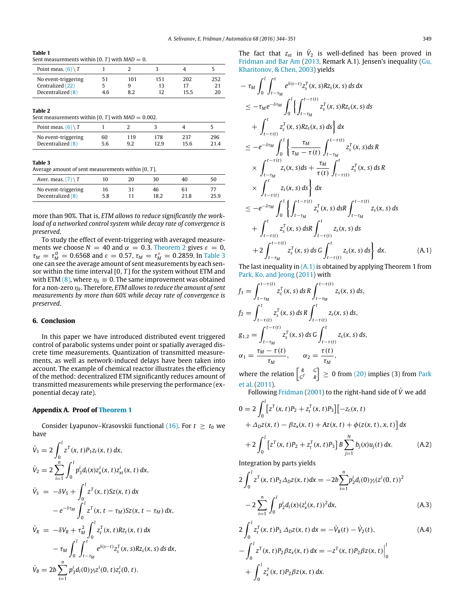<span id="page-5-1"></span>

| $\sim$<br>. .<br>. . |  |
|----------------------|--|
|----------------------|--|

Sent measurements within  $[0, T]$  with  $MAD = 0$ .

| Point meas. $(6) \setminus T$           |     |     |           |           |     |
|-----------------------------------------|-----|-----|-----------|-----------|-----|
| No event-triggering<br>Centralized (22) | 51  | 101 | 151<br>13 | 202<br>17 | 252 |
| Decentralized (8)                       | 4.6 |     |           | 15.5      |     |

#### <span id="page-5-2"></span>**Table 2**

Sent measurements within  $[0, T]$  with  $MAD = 0.002$ .

| Point meas, $(6) \setminus T$ |     |     |      |      |     |
|-------------------------------|-----|-----|------|------|-----|
| No event-triggering           | 60  | 119 | 178  | 237  | 296 |
| Decentralized (8)             | 5.6 | 9.2 | 12.9 | 15.6 |     |

#### <span id="page-5-3"></span>**Table 3**

Average amount of sent measurements within [0, *T* ].

| Aver, meas, $(7) \setminus T$            | 10        |    | 30         | 40         | 50   |
|------------------------------------------|-----------|----|------------|------------|------|
| No event-triggering<br>Decentralized (8) | 16<br>5.8 | ٦1 | 46<br>18.2 | 61<br>21.8 | 25.9 |

more than 90%. That is, *ETM allows to reduce significantly the workload of a networked control system while decay rate of convergence is preserved*.

To study the effect of event-triggering with averaged measurements we choose  $N = 40$  and  $\alpha = 0.3$ . [Theorem 2](#page-4-2) gives  $\varepsilon = 0$ ,  $τ<sub>M</sub> = τ<sub>M</sub><sup>0</sup> = 0.6568$  and  $ε = 0.57$ ,  $τ<sub>M</sub> = τ<sub>M</sub><sup>ε</sup> = 0.2859$ . In [Table 3](#page-5-3) one can see the average amount of sent measurements by each sensor within the time interval [0, *T* ] for the system without ETM and with ETM [\(8\),](#page-1-3) where  $\eta_k \equiv 0$ . The same improvement was obtained for a non-zero η*k*. Therefore, *ETM allows to reduce the amount of sent measurements by more than 60% while decay rate of convergence is preserved*.

#### **6. Conclusion**

In this paper we have introduced distributed event triggered control of parabolic systems under point or spatially averaged discrete time measurements. Quantization of transmitted measurements, as well as network-induced delays have been taken into account. The example of chemical reactor illustrates the efficiency of the method: decentralized ETM significantly reduces amount of transmitted measurements while preserving the performance (exponential decay rate).

#### <span id="page-5-0"></span>**Appendix A. Proof of [Theorem 1](#page-3-5)**

Consider Lyapunov–Krasovskii functional [\(16\).](#page-2-7) For  $t \geq t_0$  we have

$$
\dot{V}_1 = 2 \int_0^l z^T(x, t) P_1 z_t(x, t) dx,
$$
\n
$$
\dot{V}_2 = 2 \sum_{i=1}^n \int_0^l p_3^i d_i(x) z_x^i(x, t) z_x^i(x, t) dx,
$$
\n
$$
\dot{V}_S = -\delta V_S + \int_0^l z^T(x, t) S_z(x, t) dx
$$
\n
$$
- e^{-\delta \tau_M} \int_0^l z^T(x, t - \tau_M) S_z(x, t - \tau_M) dx,
$$
\n
$$
\dot{V}_R = -\delta V_R + \tau_M^2 \int_0^l z_t^T(x, t) R z_t(x, t) dx
$$
\n
$$
- \tau_M \int_0^l \int_{t - \tau_M}^t e^{\delta(s - t)} z_s^T(x, s) R z_s(x, s) ds dx,
$$
\n
$$
\dot{V}_B = 2b \sum_{i=1}^n p_3^i d_i(0) \gamma_i z^i(0, t) z_t^i(0, t).
$$

The fact that  $z_{xt}$  in  $\dot{V}_2$  is well-defined has been proved in [Fridman](#page-7-12) [and](#page-7-12) [Bar](#page-7-12) [Am](#page-7-12) [\(2013,](#page-7-12) Remark A.1). Jensen's inequality [\(Gu,](#page-7-39) [Kharitonov,](#page-7-39) [&](#page-7-39) [Chen,](#page-7-39) [2003\)](#page-7-39) yields

$$
-\tau_{M} \int_{0}^{l} \int_{t-\tau_{M}}^{t} e^{\delta(s-t)} z_{s}^{T}(x, s) R z_{s}(x, s) ds dx
$$
  
\n
$$
\leq -\tau_{M} e^{-\delta \tau_{M}} \int_{0}^{l} \left\{ \int_{t-\tau_{M}}^{t-\tau(t)} z_{s}^{T}(x, s) R z_{s}(x, s) ds \right\} dx
$$
  
\n
$$
+\int_{t-\tau(t)}^{t} z_{s}^{T}(x, s) R z_{s}(x, s) ds \right\} dx
$$
  
\n
$$
\leq -e^{-\delta \tau_{M}} \int_{0}^{l} \left\{ \frac{\tau_{M}}{\tau_{M} - \tau(t)} \int_{t-\tau_{M}}^{t-\tau(t)} z_{s}^{T}(x, s) ds R \right\}
$$
  
\n
$$
\times \int_{t-\tau_{M}}^{t-\tau(t)} z_{s}(x, s) ds + \frac{\tau_{M}}{\tau(t)} \int_{t-\tau(t)}^{t} z_{s}^{T}(x, s) ds R
$$
  
\n
$$
\times \int_{t-\tau(t)}^{t} z_{s}(x, s) ds \right\} dx
$$
  
\n
$$
\leq -e^{-\delta \tau_{M}} \int_{0}^{l} \left\{ \int_{t-\tau_{M}}^{t-\tau(t)} z_{s}^{T}(x, s) ds R \int_{t-\tau_{M}}^{t-\tau(t)} z_{s}(x, s) ds \right\}
$$
  
\n
$$
+ \int_{t-\tau(t)}^{t} z_{s}^{T}(x, s) ds R \int_{t-\tau(t)}^{t} z_{s}(x, s) ds \right\} dx
$$
  
\n
$$
+ 2 \int_{t-\tau_{M}}^{t-\tau(t)} z_{s}^{T}(x, s) ds G \int_{t-\tau(t)}^{t} z_{s}(x, s) ds \right\} dx.
$$
 (A.1)

<span id="page-5-4"></span>The last inequality in  $(A,1)$  is obtained by applying Theorem 1 from [Park,](#page-7-40) [Ko,](#page-7-40) [and](#page-7-40) [Jeong](#page-7-40) [\(2011\)](#page-7-40) with

$$
f_1 = \int_{t-\tau_M}^{t-\tau(t)} z_s^T(x, s) \, ds \, R \int_{t-\tau_M}^{t-\tau(t)} z_s(x, s) \, ds,
$$
  
\n
$$
f_2 = \int_{t-\tau(t)}^t z_s^T(x, s) \, ds \, R \int_{t-\tau(t)}^t z_s(x, s) \, ds,
$$
  
\n
$$
g_{1,2} = \int_{t-\tau_M}^{t-\tau(t)} z_s^T(x, s) \, ds \, G \int_{t-\tau(t)}^t z_s(x, s) \, ds,
$$
  
\n
$$
\alpha_1 = \frac{\tau_M - \tau(t)}{\tau_M}, \qquad \alpha_2 = \frac{\tau(t)}{\tau_M},
$$

where the relation  $\begin{bmatrix} R & G \\ G^T & B \end{bmatrix}$  $\begin{bmatrix} R & G \\ G^T & R \end{bmatrix} \geq 0$  from [\(20\)](#page-3-6) implies (3) from [Park](#page-7-40) [et al.](#page-7-40) [\(2011\)](#page-7-40).

Following [Fridman](#page-7-41) [\(2001\)](#page-7-41) to the right-hand side of *<sup>V</sup>*˙ we add

$$
0 = 2 \int_0^1 \left[ z^T(x, t) P_2 + z_t^T(x, t) P_3 \right] \left[ -z_t(x, t) + \Delta_D z(x, t) - \beta z_x(x, t) + Az(x, t) + \phi(z(x, t), x, t) \right] dx
$$

<span id="page-5-5"></span>
$$
+2\int_0^l \left[z^T(x,t)P_2+z_t^T(x,t)P_3\right]B\sum_{j=1}^N b_j(x)u_j(t) dx.
$$
 (A.2)

Integration by parts yields

<span id="page-5-6"></span>
$$
2\int_0^l z^T(x,t)P_2\Delta_D z(x,t)dx = -2b\sum_{i=1}^n p_2^i d_i(0)\gamma_i(z^i(0,t))^2
$$
  

$$
-2\sum_{i=1}^n \int_0^l p_2^i d_i(x)(z_x^i(x,t))^2 dx,
$$
 (A.3)

<span id="page-5-7"></span>
$$
2\int_0^l z_t^T(x, t) P_3 \Delta_D z(x, t) dx = -\dot{V}_B(t) - \dot{V}_2(t),
$$
  
\n
$$
-\int_0^l z^T(x, t) P_2 \beta z_x(x, t) dx = -z^T(x, t) P_2 \beta z(x, t) \Big|_0^l
$$
  
\n
$$
+\int_0^l z_x^T(x, t) P_2 \beta z(x, t) dx.
$$
 (A.4)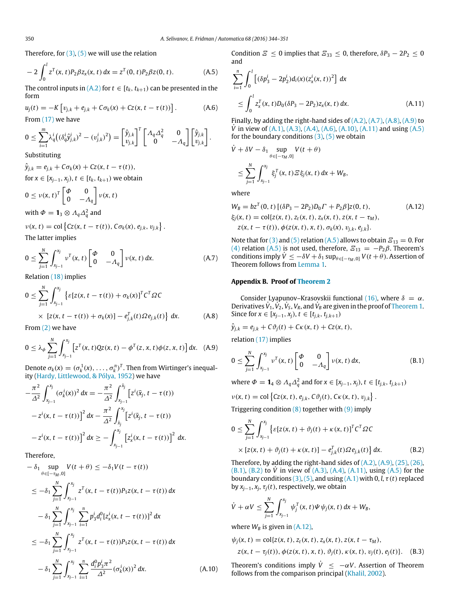Therefore, for  $(3)$ ,  $(5)$  we will use the relation

$$
-2\int_0^l z^T(x,t)P_2\beta z_x(x,t) dx = z^T(0,t)P_2\beta z(0,t).
$$
 (A.5)

The control inputs in  $(A,2)$  for  $t \in [t_k, t_{k+1})$  can be presented in the form

$$
u_j(t) = -K \left[ v_{j,k} + e_{j,k} + C \sigma_k(x) + Cz(x, t - \tau(t)) \right].
$$
 (A.6)

From [\(17\)](#page-2-5) we have

$$
0 \leq \sum_{i=1}^m \lambda_q^i \big( (\delta_q^i \hat{y}_{j,k}^i)^2 - (\upsilon_{j,k}^i)^2 \big) = \begin{bmatrix} \hat{y}_{j,k} \\ \upsilon_{j,k} \end{bmatrix}^T \begin{bmatrix} \Lambda_q \Delta_q^2 & 0 \\ 0 & -\Lambda_q \end{bmatrix} \begin{bmatrix} \hat{y}_{j,k} \\ \upsilon_{j,k} \end{bmatrix}.
$$

Substituting

$$
\hat{y}_{j,k} = e_{j,k} + C\sigma_k(x) + Cz(x, t - \tau(t)),
$$
  
for  $x \in [x_{j-1}, x_j), t \in [t_k, t_{k+1})$  we obtain

$$
0 \le v(x, t)^{T} \begin{bmatrix} \varphi & 0 \\ 0 & -A_{q} \end{bmatrix} v(x, t)
$$
  
with  $\varphi = 1_{3} \otimes A_{q} \Delta_{q}^{2}$  and

 $v(x, t) = \text{col}\left\{Cz(x, t - \tau(t)), C\sigma_k(x), e_{j,k}, v_{j,k}\right\}.$ 

The latter implies

$$
0 \leq \sum_{j=1}^{N} \int_{x_{j-1}}^{x_j} v^T(x, t) \begin{bmatrix} \Phi & 0 \\ 0 & -A_q \end{bmatrix} v(x, t) dx.
$$
 (A.7)

Relation [\(18\)](#page-2-6) implies

$$
0 \leq \sum_{j=1}^{N} \int_{x_{j-1}}^{x_j} \left\{ \varepsilon [z(x, t - \tau(t)) + \sigma_k(x)]^T C^T \Omega C \right\}
$$
  
 
$$
\times \left[ z(x, t - \tau(t)) + \sigma_k(x) \right] - e_{j,k}^T(t) \Omega e_{j,k}(t) \left\} dx.
$$
 (A.8)

From [\(2\)](#page-1-2) we have

$$
0 \leq \lambda_{\phi} \sum_{j=1}^{N} \int_{x_{j-1}}^{x_j} \left[ z^T(x, t) Q z(x, t) - \phi^T(z, x, t) \phi(z, x, t) \right] dx. \quad (A.9)
$$

Denote  $\sigma_k(x) = (\sigma_k^1(x), \ldots, \sigma_k^n)^T$ . Then from Wirtinger's inequality [\(Hardy,](#page-7-42) [Littlewood,](#page-7-42) [&](#page-7-42) [Pólya,](#page-7-42) [1952\)](#page-7-42) we have

$$
-\frac{\pi^2}{\Delta^2} \int_{x_{j-1}}^{x_j} (\sigma_k^i(x))^2 dx = -\frac{\pi^2}{\Delta^2} \int_{x_{j-1}}^{\bar{x}_j} \left[ z^i(\bar{x}_j, t - \tau(t)) - z^i(x, t - \tau(t)) \right]^2 dx - \frac{\pi^2}{\Delta^2} \int_{\bar{x}_j}^{x_j} \left[ z^i(\bar{x}_j, t - \tau(t)) - z^i(x, t - \tau(t)) \right]^2 dx \ge -\int_{x_{j-1}}^{x_j} \left[ z^i_x(x, t - \tau(t)) \right]^2 dx.
$$

Therefore,

$$
-\delta_{1} \sup_{\theta \in [-\tau_{M}, 0]} V(t + \theta) \leq -\delta_{1} V(t - \tau(t))
$$
  
\n
$$
\leq -\delta_{1} \sum_{j=1}^{N} \int_{x_{j-1}}^{x_{j}} z^{T}(x, t - \tau(t)) P_{1} z(x, t - \tau(t)) dx
$$
  
\n
$$
-\delta_{1} \sum_{j=1}^{N} \int_{x_{j-1}}^{x_{j}} \sum_{i=1}^{n} p_{3}^{i} d_{i}^{0} [z_{x}^{i}(x, t - \tau(t))]^{2} dx
$$
  
\n
$$
\leq -\delta_{1} \sum_{j=1}^{N} \int_{x_{j-1}}^{x_{j}} z^{T}(x, t - \tau(t)) P_{1} z(x, t - \tau(t)) dx
$$
  
\n
$$
-\delta_{1} \sum_{j=1}^{N} \int_{x_{j-1}}^{x_{j}} \sum_{i=1}^{n} \frac{d_{i}^{0} p_{3}^{i} \pi^{2}}{\Delta^{2}} (\sigma_{k}^{i}(x))^{2} dx.
$$
 (A.10)

Condition  $\mathcal{Z} \leq 0$  implies that  $\mathcal{Z}_{33} \leq 0$ , therefore,  $\delta P_3 - 2P_2 \leq 0$ and

<span id="page-6-7"></span><span id="page-6-6"></span>
$$
\sum_{i=1}^{n} \int_{0}^{1} \left[ (\delta p_3^i - 2p_2^i) d_i(x) (z_x^i(x, t))^2 \right] dx
$$
  
 
$$
\leq \int_{0}^{1} z_x^T(x, t) D_0(\delta P_3 - 2P_2) z_x(x, t) dx.
$$
 (A.11)

<span id="page-6-5"></span>Finally, by adding the right-hand sides of [\(A.2\),](#page-5-5) [\(A.7\),](#page-6-3) [\(A.8\),](#page-6-1) [\(A.9\)](#page-6-4) to  $\dot{V}$  in view of (A, 1), (A, 3), (A, 4), (A, 6), (A, 10), (A, 11) and using (A, 5) for the boundary conditions  $(3)$ ,  $(5)$  we obtain

$$
\dot{V} + \delta V - \delta_1 \sup_{\theta \in [-\tau_M, 0]} V(t + \theta)
$$
  
\n
$$
\leq \sum_{j=1}^N \int_{x_{j-1}}^{x_j} \xi_j^T(x, t) \, \Xi \xi_j(x, t) \, dx + W_B,
$$

where

<span id="page-6-10"></span>
$$
W_B = bz^T(0, t) [(\delta P_3 - 2P_2)D_0 \Gamma + P_2 \beta] z(0, t),
$$
  
\n
$$
\xi_j(x, t) = \text{col}\{z(x, t), z_t(x, t), z_x(x, t), z(x, t - \tau_M),
$$
  
\n
$$
z(x, t - \tau(t)), \phi(z(x, t), x, t), \sigma_k(x), v_{j,k}, e_{j,k}.
$$
\n(A.12)

<span id="page-6-3"></span>Note that for [\(3\)](#page-1-4) and [\(5\)](#page-1-6) relation [\(A.5\)](#page-6-7) allows to obtain  $\mathcal{Z}_{13} = 0$ . For [\(4\)](#page-1-5) relation [\(A.5\)](#page-6-7) is not used, therefore,  $E_{13} = -P_2 \beta$ . Theorem's conditions imply  $\dot{V} \le -\delta V + \delta_1 \sup_{\theta \in [-\tau_M, 0]} V(t + \theta)$ . Assertion of Theorem follows from [Lemma 1.](#page-3-7)

#### <span id="page-6-2"></span>**Appendix B. Proof of [Theorem 2](#page-4-2)**

Consider Lyapunov–Krasovskii functional [\(16\),](#page-2-7) where  $\delta = \alpha$ . Derivatives  $\dot{V}_1, \dot{V}_2, \dot{V}_S, V_R$ , and  $\dot{V}_B$  are given in the proof of [Theorem 1.](#page-3-5) Since for *x* ∈  $[x_{j-1}, x_j)$ ,  $t$  ∈  $[t_{j,k}, t_{j,k+1})$ 

<span id="page-6-1"></span>
$$
\hat{y}_{j,k} = e_{j,k} + C\vartheta_j(t) + C\kappa(x,t) + Cz(x,t),
$$

<span id="page-6-4"></span>relation [\(17\)](#page-2-5) implies

<span id="page-6-8"></span>
$$
0 \leq \sum_{j=1}^{N} \int_{x_{j-1}}^{x_j} \nu^{T}(x, t) \begin{bmatrix} \Phi & 0 \\ 0 & -A_q \end{bmatrix} \nu(x, t) dx,
$$
 (B.1)

where  $\Phi = \mathbf{1}_4 \otimes A_q \Delta_q^2$  and for  $x \in [x_{j-1}, x_j)$ ,  $t \in [t_{j,k}, t_{j,k+1})$ 

$$
v(x, t) = \text{col}\left\{Cz(x, t), e_{j,k}, C\vartheta_j(t), C\kappa(x, t), v_{j,k}\right\}.
$$

Triggering condition  $(8)$  together with  $(9)$  imply

$$
0 \leq \sum_{j=1}^{N} \int_{x_{j-1}}^{x_j} \left\{ \varepsilon [z(x, t) + \vartheta_j(t) + \kappa(x, t)]^T C^T \Omega C \right\}
$$
  
 
$$
\times \left[ z(x, t) + \vartheta_j(t) + \kappa(x, t) \right] - e_{j,k}^T(t) \Omega e_{j,k}(t) \left\} dx.
$$
 (B.2)

<span id="page-6-9"></span>Therefore, by adding the right-hand sides of [\(A.2\),](#page-5-5) [\(A.9\),](#page-6-4) [\(25\),](#page-4-0) [\(26\),](#page-4-1) [\(B.1\),](#page-6-8) [\(B.2\)](#page-6-9) to *<sup>V</sup>*˙ in view of [\(A.3\),](#page-5-6) [\(A.4\),](#page-5-7) [\(A.11\),](#page-6-6) using [\(A.5\)](#page-6-7) for the boundary conditions  $(3)$ ,  $(5)$ , and using  $(A.1)$  with 0, *l*,  $\tau$  (*t*) replaced by  $x_{j-1}$ ,  $x_j$ ,  $\tau_j(t)$ , respectively, we obtain

$$
\dot{V} + \alpha V \leq \sum_{j=1}^N \int_{x_{j-1}}^{x_j} \psi_j^T(x, t) \Psi \psi_j(x, t) dx + W_B,
$$

where  $W_B$  is given in [\(A.12\),](#page-6-10)

$$
\psi_j(x, t) = \text{col}\{z(x, t), z_t(x, t), z_x(x, t), z(x, t - \tau_M),
$$
  
 
$$
z(x, t - \tau_j(t)), \phi(z(x, t), x, t), \vartheta_j(t), \kappa(x, t), v_j(t), e_j(t)\}.
$$
 (B.3)

<span id="page-6-0"></span>Theorem's conditions imply  $\dot{V} \le -\alpha V$ . Assertion of Theorem follows from the comparison principal [\(Khalil,](#page-7-43) [2002\)](#page-7-43).